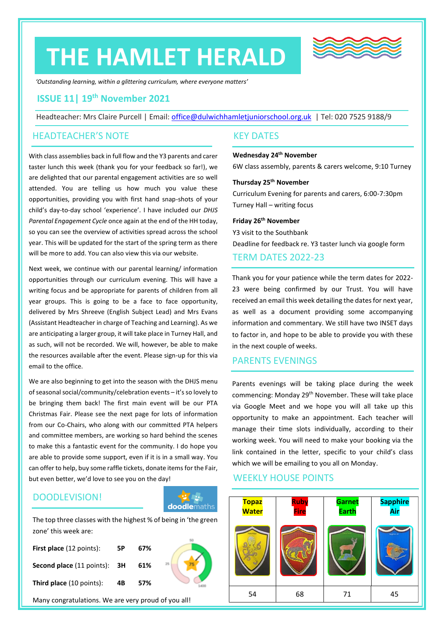# **THE HAMLET HERALD**



*'Outstanding learning, within a glittering curriculum, where everyone matters'*

# **ISSUE 11| 19 th November 2021**

Headteacher: Mrs Claire Purcell | Email: [office@dulwichhamletjuniorschool.org.uk](mailto:office@dulwichhamletjuniorschool.org.uk) | Tel: 020 7525 9188/9

## HEADTEACHER'S NOTE

With class assemblies back in full flow and the Y3 parents and carer taster lunch this week (thank you for your feedback so far!), we are delighted that our parental engagement activities are so well attended. You are telling us how much you value these opportunities, providing you with first hand snap-shots of your child's day-to-day school 'experience'. I have included our *DHJS Parental Engagement Cycle* once again at the end of the HH today, so you can see the overview of activities spread across the school year. This will be updated for the start of the spring term as there will be more to add. You can also view this via our website.

Next week, we continue with our parental learning/ information opportunities through our curriculum evening. This will have a writing focus and be appropriate for parents of children from all year groups. This is going to be a face to face opportunity, delivered by Mrs Shreeve (English Subject Lead) and Mrs Evans (Assistant Headteacher in charge of Teaching and Learning). As we are anticipating a larger group, it will take place in Turney Hall, and as such, will not be recorded. We will, however, be able to make the resources available after the event. Please sign-up for this via email to the office.

We are also beginning to get into the season with the DHJS menu of seasonal social/community/celebration events – it's so lovely to be bringing them back! The first main event will be our PTA Christmas Fair. Please see the next page for lots of information from our Co-Chairs, who along with our committed PTA helpers and committee members, are working so hard behind the scenes to make this a fantastic event for the community. I do hope you are able to provide some support, even if it is in a small way. You can offer to help, buy some raffle tickets, donate items for the Fair, but even better, we'd love to see you on the day!

# DOODLEVISION!



The top three classes with the highest % of being in 'the green zone' this week are:

| First place (12 points):            | 5Р | 67% |  |
|-------------------------------------|----|-----|--|
| <b>Second place (11 points): 3H</b> |    | 61% |  |
| Third place (10 points):            | 4B | 57% |  |

Many congratulations. We are very proud of you all!

## KEY DATES

#### **Wednesday 24th November**

6W class assembly, parents & carers welcome, 9:10 Turney

#### **Thursday 25th November**

Curriculum Evening for parents and carers, 6:00-7:30pm Turney Hall – writing focus

#### **Friday 26 th November** Y3 visit to the Southbank

Deadline for feedback re. Y3 taster lunch via google form

## TERM DATES 2022-23

Thank you for your patience while the term dates for 2022- 23 were being confirmed by our Trust. You will have received an email this week detailing the dates for next year, as well as a document providing some accompanying information and commentary. We still have two INSET days to factor in, and hope to be able to provide you with these in the next couple of weeks.

#### PARENTS EVENINGS

Parents evenings will be taking place during the week commencing: Monday 29<sup>th</sup> November. These will take place via Google Meet and we hope you will all take up this opportunity to make an appointment. Each teacher will manage their time slots individually, according to their working week. You will need to make your booking via the link contained in the letter, specific to your child's class which we will be emailing to you all on Monday.

## WEEKLY HOUSE POINTS

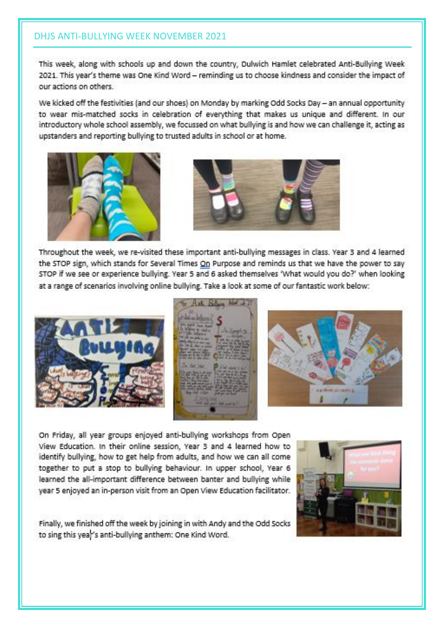# **DHJS ANTI-BULLYING WEEK NOVEMBER 2021**

This week, along with schools up and down the country, Dulwich Hamlet celebrated Anti-Bullying Week 2021. This year's theme was One Kind Word - reminding us to choose kindness and consider the impact of our actions on others.

We kicked off the festivities (and our shoes) on Monday by marking Odd Socks Day - an annual opportunity to wear mis-matched socks in celebration of everything that makes us unique and different. In our introductory whole school assembly, we focussed on what bullying is and how we can challenge it, acting as upstanders and reporting bullying to trusted adults in school or at home.





Throughout the week, we re-visited these important anti-bullying messages in class. Year 3 and 4 learned the STOP sign, which stands for Several Times On Purpose and reminds us that we have the power to say STOP if we see or experience bullying. Year 5 and 6 asked themselves 'What would you do?' when looking at a range of scenarios involving online bullying. Take a look at some of our fantastic work below:





On Friday, all year groups enjoyed anti-bullying workshops from Open View Education. In their online session, Year 3 and 4 learned how to identify bullying, how to get help from adults, and how we can all come together to put a stop to bullying behaviour. In upper school, Year 6 learned the all-important difference between banter and bullying while year 5 enjoyed an in-person visit from an Open View Education facilitator.



Finally, we finished off the week by joining in with Andy and the Odd Socks to sing this year's anti-bullying anthem: One Kind Word.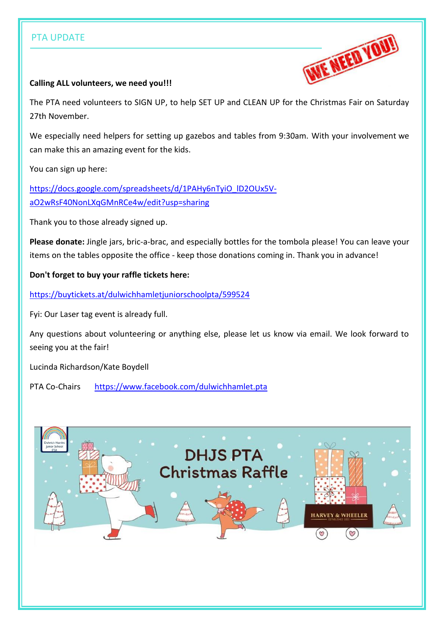# PTA UPDATE



## **Calling ALL volunteers, we need you!!!**

The PTA need volunteers to SIGN UP, to help SET UP and CLEAN UP for the Christmas Fair on Saturday 27th November.

We especially need helpers for setting up gazebos and tables from 9:30am. With your involvement we can make this an amazing event for the kids.

You can sign up here:

[https://docs.google.com/spreadsheets/d/1PAHy6nTyiO\\_lD2OUx5V](https://docs.google.com/spreadsheets/d/1PAHy6nTyiO_lD2OUx5V-aO2wRsF40NonLXqGMnRCe4w/edit?usp=sharing)[aO2wRsF40NonLXqGMnRCe4w/edit?usp=sharing](https://docs.google.com/spreadsheets/d/1PAHy6nTyiO_lD2OUx5V-aO2wRsF40NonLXqGMnRCe4w/edit?usp=sharing)

Thank you to those already signed up.

**Please donate:** Jingle jars, bric-a-brac, and especially bottles for the tombola please! You can leave your items on the tables opposite the office - keep those donations coming in. Thank you in advance!

**Don't forget to buy your raffle tickets here:**

<https://buytickets.at/dulwichhamletjuniorschoolpta/599524>

Fyi: Our Laser tag event is already full.

Any questions about volunteering or anything else, please let us know via email. We look forward to seeing you at the fair!

Lucinda Richardson/Kate Boydell

PTA Co-Chairs <https://www.facebook.com/dulwichhamlet.pta>